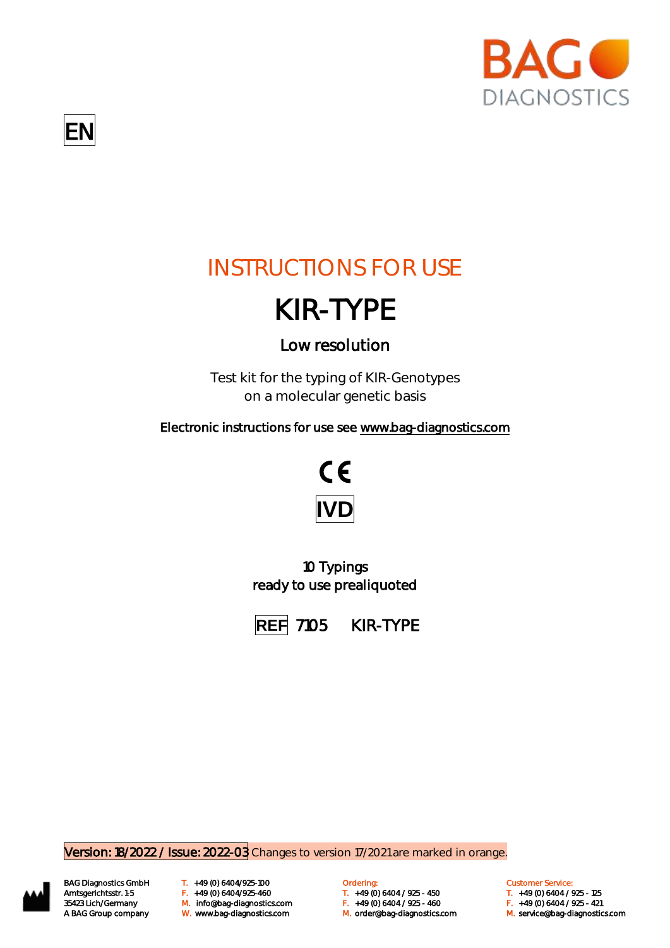

## INSTRUCTIONS FOR USE

# KIR-TYPE

## Low resolution

Test kit for the typing of KIR-Genotypes on a molecular genetic basis

Electronic instructions for use see [www.bag-diagnostics.com](http://www.bag-diagnostics.com/) 



10 Typings ready to use prealiquoted



Version: 18/2022 / Issue: 2022-03 Changes to version 17/2021 are marked in orange.



BAG Diagnostics GmbH T. +49 (0) 6404/925-100 **Cambridge Condering:** Customer Service: Customer Service: M. orderlang-Amtsgerichtsstr. 1-5 F. +49 (0) 6404/925-460 T. +49 (0) 6404 / 925 - 450 T. +49 (0) 6404 / 925 - 125 35423 Lich/Germany Changer M. info@bag-diagnostics.com Changer May 10 6404 / 925 - 450 F. +49 (0) 6404 / 925<br>35423 Lich/Germany M. info@bag-diagnostics.com F. +49 (0) 6404 / 925 - 460 F. +49 (0) 6404 / 925 - 421

- 
- A BAG Group company W. www.bag-diagnostics.com M. order@bag-diagnostics.com M. service@bag-diagnostics.com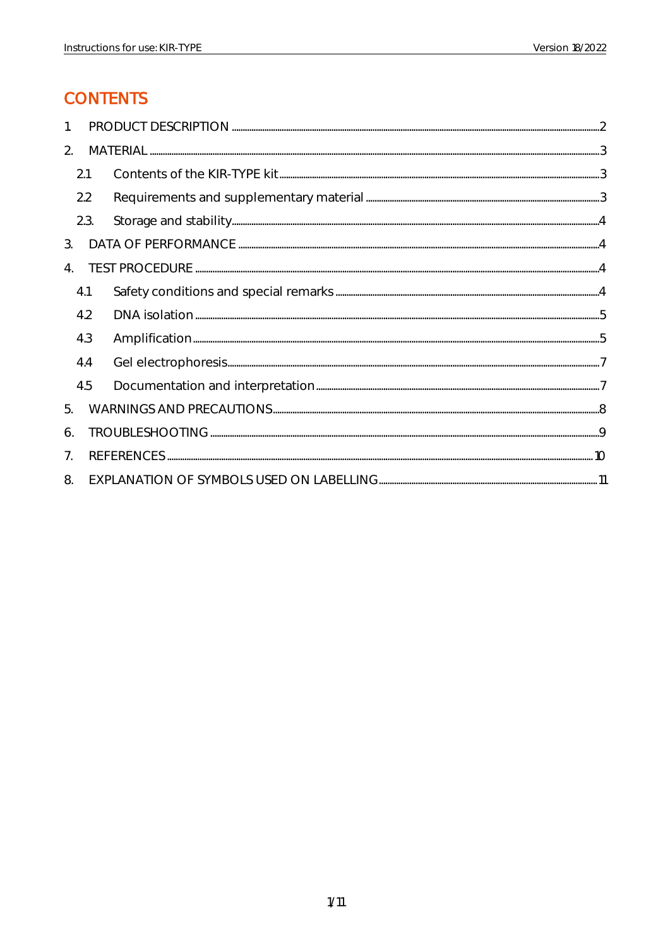## **CONTENTS**

| 1.             |      |  |
|----------------|------|--|
| 2.             |      |  |
|                | 2.1  |  |
|                | 2.2  |  |
|                | 2.3. |  |
| 3.             |      |  |
| $4_{\cdot}$    |      |  |
|                | 4.1  |  |
|                | 4.2  |  |
|                | 4.3  |  |
|                | 4.4  |  |
|                | 4.5  |  |
| 5.             |      |  |
| 6.             |      |  |
| 7 <sub>1</sub> |      |  |
| 8.             |      |  |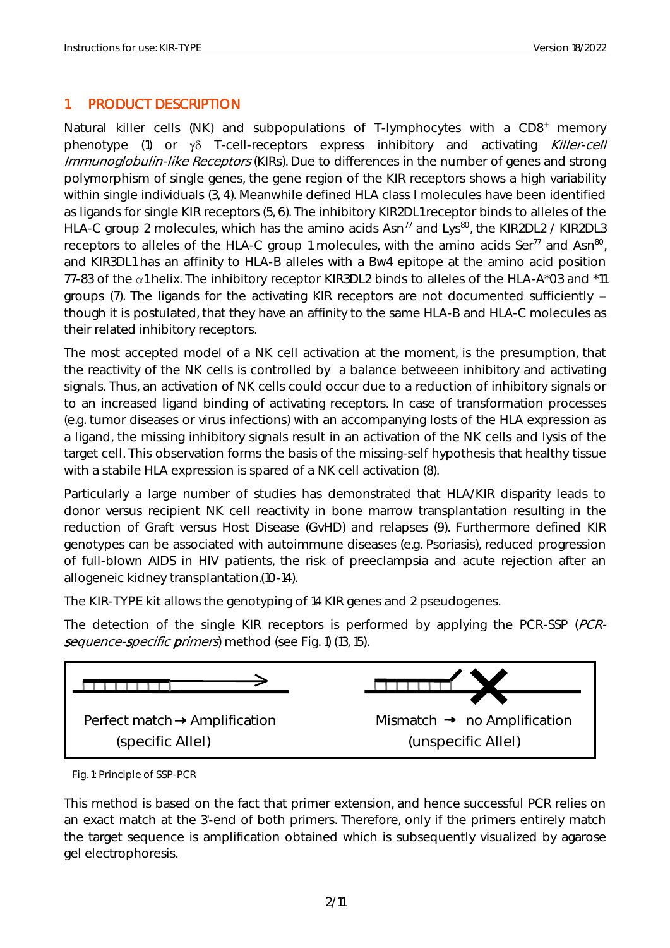## <span id="page-2-0"></span>1. PRODUCT DESCRIPTION

Natural killer cells (NK) and subpopulations of T-lymphocytes with a CD8<sup>+</sup> memory phenotype (1) or  $\gamma\delta$  T-cell-receptors express inhibitory and activating Killer-cell Immunoglobulin-like Receptors (KIRs). Due to differences in the number of genes and strong polymorphism of single genes, the gene region of the KIR receptors shows a high variability within single individuals (3, 4). Meanwhile defined HLA class I molecules have been identified as ligands for single KIR receptors (5, 6). The inhibitory KIR2DL1 receptor binds to alleles of the HLA-C group 2 molecules, which has the amino acids  $Asn^{77}$  and Lys<sup>80</sup>, the KIR2DL2 / KIR2DL3 receptors to alleles of the HLA-C group 1 molecules, with the amino acids Ser<sup>77</sup> and Asn<sup>80</sup>, and KIR3DL1 has an affinity to HLA-B alleles with a Bw4 epitope at the amino acid position 77-83 of the α1 helix. The inhibitory receptor KIR3DL2 binds to alleles of the HLA-A\*03 and \*11 groups (7). The ligands for the activating KIR receptors are not documented sufficiently though it is postulated, that they have an affinity to the same HLA-B and HLA-C molecules as their related inhibitory receptors.

The most accepted model of a NK cell activation at the moment, is the presumption, that the reactivity of the NK cells is controlled by a balance betweeen inhibitory and activating signals. Thus, an activation of NK cells could occur due to a reduction of inhibitory signals or to an increased ligand binding of activating receptors. In case of transformation processes (e.g. tumor diseases or virus infections) with an accompanying losts of the HLA expression as a ligand, the missing inhibitory signals result in an activation of the NK cells and lysis of the target cell. This observation forms the basis of the missing-self hypothesis that healthy tissue with a stabile HLA expression is spared of a NK cell activation (8).

Particularly a large number of studies has demonstrated that HLA/KIR disparity leads to donor versus recipient NK cell reactivity in bone marrow transplantation resulting in the reduction of Graft versus Host Disease (GvHD) and relapses (9). Furthermore defined KIR genotypes can be associated with autoimmune diseases (e.g. Psoriasis), reduced progression of full-blown AIDS in HIV patients, the risk of preeclampsia and acute rejection after an allogeneic kidney transplantation.(10-14).

The KIR-TYPE kit allows the genotyping of 14 KIR genes and 2 pseudogenes.

The detection of the single KIR receptors is performed by applying the PCR-SSP (PCRsequence-specific primers) method (see Fig. 1) (13, 15).



Fig. 1: Principle of SSP-PCR

This method is based on the fact that primer extension, and hence successful PCR relies on an exact match at the 3'-end of both primers. Therefore, only if the primers entirely match the target sequence is amplification obtained which is subsequently visualized by agarose gel electrophoresis.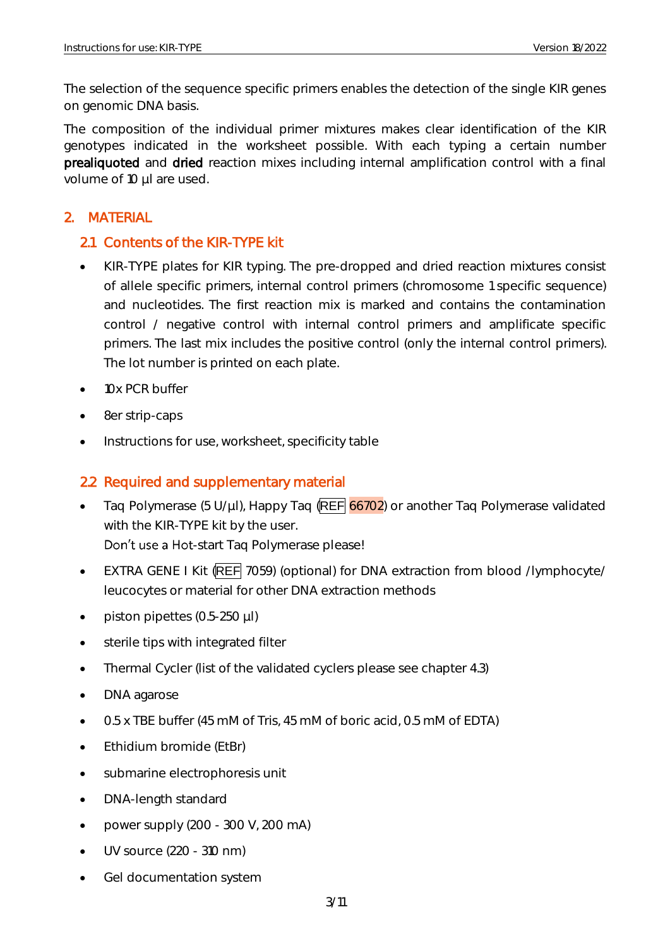The selection of the sequence specific primers enables the detection of the single KIR genes on genomic DNA basis.

The composition of the individual primer mixtures makes clear identification of the KIR genotypes indicated in the worksheet possible. With each typing a certain number prealiquoted and dried reaction mixes including internal amplification control with a final volume of 10 µl are used.

## <span id="page-3-0"></span>2. MATERIAL

## <span id="page-3-1"></span>2.1 Contents of the KIR-TYPE kit

- KIR-TYPE plates for KIR typing. The pre-dropped and dried reaction mixtures consist of allele specific primers, internal control primers (chromosome 1 specific sequence) and nucleotides. The first reaction mix is marked and contains the contamination control / negative control with internal control primers and amplificate specific primers. The last mix includes the positive control (only the internal control primers). The lot number is printed on each plate.
- 10x PCR buffer
- 8er strip-caps
- Instructions for use, worksheet, specificity table

## <span id="page-3-2"></span>2.2 Required and supplementary material

- Taq Polymerase (5 U/µl), Happy Taq  $(REF 66702)$  or another Taq Polymerase validated with the KIR-TYPE kit by the user. Don't use a Hot-start Taq Polymerase please!
- EXTRA GENE I Kit (REF 7059) (optional) for DNA extraction from blood /lymphocyte/ leucocytes or material for other DNA extraction methods
- piston pipettes (0.5-250 µl)
- sterile tips with integrated filter
- Thermal Cycler (list of the validated cyclers please see chapter 4.3)
- DNA agarose
- 0.5 x TBE buffer (45 mM of Tris, 45 mM of boric acid, 0.5 mM of EDTA)
- Ethidium bromide (EtBr)
- submarine electrophoresis unit
- DNA-length standard
- power supply  $(200 300 V, 200 mA)$
- UV source (220 310 nm)
- Gel documentation system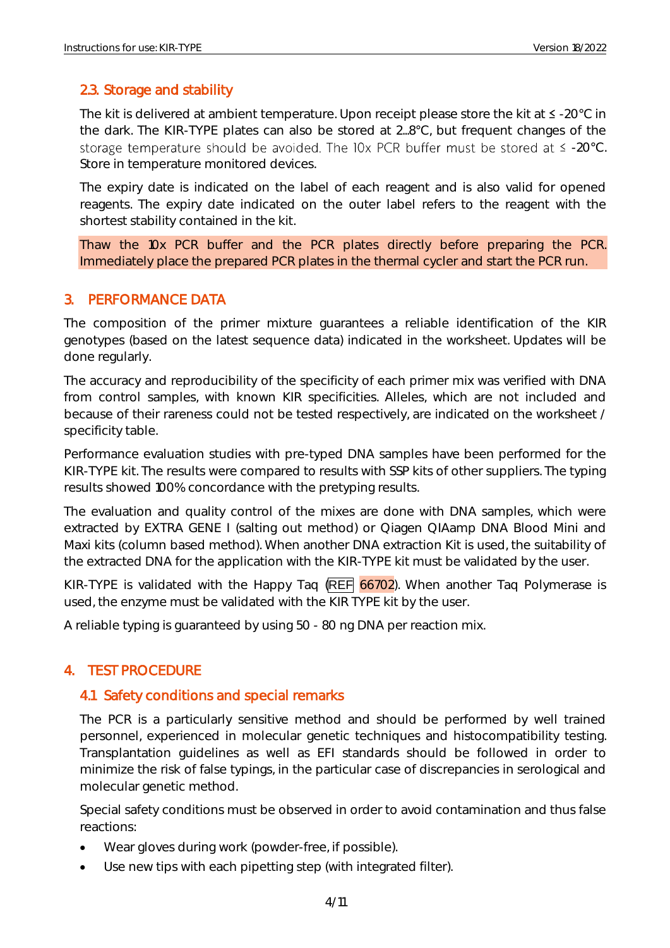## <span id="page-4-0"></span>2.3. Storage and stability

The kit is delivered at ambient temperature. Upon receipt please store the kit at  $\leq$  -20°C in the dark. The KIR-TYPE plates can also be stored at 2...8°C, but frequent changes of the storage temperature should be avoided. The IOx PCR buffer must be stored at  $\leq$  -20°C. Store in temperature monitored devices.

The expiry date is indicated on the label of each reagent and is also valid for opened reagents. The expiry date indicated on the outer label refers to the reagent with the shortest stability contained in the kit.

Thaw the 10x PCR buffer and the PCR plates directly before preparing the PCR. Immediately place the prepared PCR plates in the thermal cycler and start the PCR run.

## <span id="page-4-1"></span>3. PERFORMANCE DATA

The composition of the primer mixture guarantees a reliable identification of the KIR genotypes (based on the latest sequence data) indicated in the worksheet. Updates will be done regularly.

The accuracy and reproducibility of the specificity of each primer mix was verified with DNA from control samples, with known KIR specificities. Alleles, which are not included and because of their rareness could not be tested respectively, are indicated on the worksheet / specificity table.

Performance evaluation studies with pre-typed DNA samples have been performed for the KIR-TYPE kit. The results were compared to results with SSP kits of other suppliers. The typing results showed 100% concordance with the pretyping results.

The evaluation and quality control of the mixes are done with DNA samples, which were extracted by EXTRA GENE I (salting out method) or Qiagen QIAamp DNA Blood Mini and Maxi kits (column based method). When another DNA extraction Kit is used, the suitability of the extracted DNA for the application with the KIR-TYPE kit must be validated by the user.

KIR-TYPE is validated with the Happy Taq  $(REF\ 66702)$ . When another Taq Polymerase is used, the enzyme must be validated with the KIR TYPE kit by the user.

A reliable typing is guaranteed by using 50 - 80 ng DNA per reaction mix.

## <span id="page-4-2"></span>4. TEST PROCEDURE

## <span id="page-4-3"></span>4.1 Safety conditions and special remarks

The PCR is a particularly sensitive method and should be performed by well trained personnel, experienced in molecular genetic techniques and histocompatibility testing. Transplantation guidelines as well as EFI standards should be followed in order to minimize the risk of false typings, in the particular case of discrepancies in serological and molecular genetic method.

Special safety conditions must be observed in order to avoid contamination and thus false reactions:

- Wear gloves during work (powder-free, if possible).
- Use new tips with each pipetting step (with integrated filter).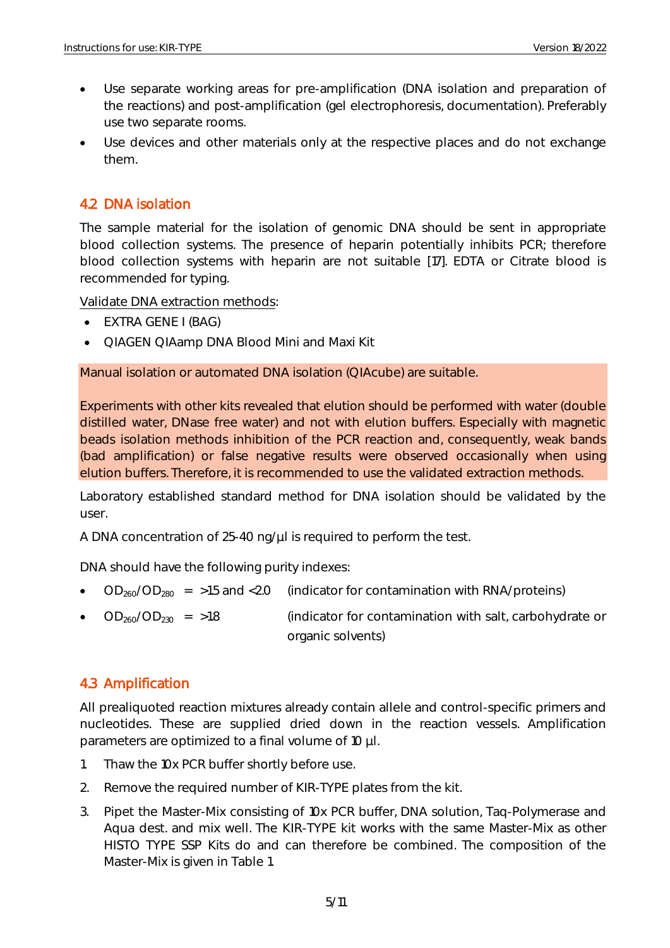- Use separate working areas for pre-amplification (DNA isolation and preparation of the reactions) and post-amplification (gel electrophoresis, documentation). Preferably use two separate rooms.
- Use devices and other materials only at the respective places and do not exchange them.

## <span id="page-5-0"></span>4.2 DNA isolation

The sample material for the isolation of genomic DNA should be sent in appropriate blood collection systems. The presence of heparin potentially inhibits PCR; therefore blood collection systems with heparin are not suitable [17]. EDTA or Citrate blood is recommended for typing.

Validate DNA extraction methods:

- EXTRA GENE I (BAG)
- QIAGEN QIAamp DNA Blood Mini and Maxi Kit

Manual isolation or automated DNA isolation (QIAcube) are suitable.

Experiments with other kits revealed that elution should be performed with water (double distilled water, DNase free water) and not with elution buffers. Especially with magnetic beads isolation methods inhibition of the PCR reaction and, consequently, weak bands (bad amplification) or false negative results were observed occasionally when using elution buffers. Therefore, it is recommended to use the validated extraction methods.

Laboratory established standard method for DNA isolation should be validated by the user.

A DNA concentration of 25-40 ng/µl is required to perform the test.

DNA should have the following purity indexes:

- $OD<sub>260</sub>/OD<sub>280</sub>$  = >1.5 and <2.0 (indicator for contamination with RNA/proteins)
- $OD<sub>260</sub>/OD<sub>230</sub> = >1.8$  (indicator for contamination with salt, carbohydrate or organic solvents)

## <span id="page-5-1"></span>4.3 Amplification

All prealiquoted reaction mixtures already contain allele and control-specific primers and nucleotides. These are supplied dried down in the reaction vessels. Amplification parameters are optimized to a final volume of 10 µl.

- 1. Thaw the 10x PCR buffer shortly before use.
- 2. Remove the required number of KIR-TYPE plates from the kit.
- 3. Pipet the Master-Mix consisting of 10x PCR buffer, DNA solution, Taq-Polymerase and Aqua dest. and mix well. The KIR-TYPE kit works with the same Master-Mix as other HISTO TYPE SSP Kits do and can therefore be combined. The composition of the Master-Mix is given in Table 1.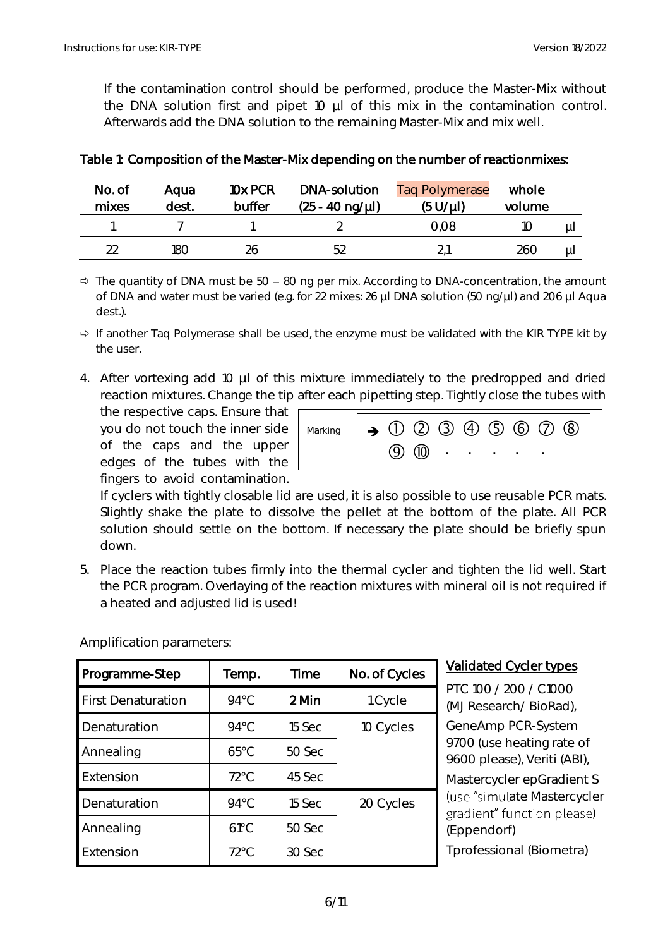If the contamination control should be performed, produce the Master-Mix without the DNA solution first and pipet 10  $\mu$ l of this mix in the contamination control. Afterwards add the DNA solution to the remaining Master-Mix and mix well.

| No. of<br>mixes | Aaua<br>dest. | 10x PCR<br>buffer | DNA-solution<br>$(25 - 40 \text{ ng/}\mu)$ | <b>Tag Polymerase</b><br>$(5 U/\mu l)$ | whole<br>volume |    |
|-----------------|---------------|-------------------|--------------------------------------------|----------------------------------------|-----------------|----|
|                 |               |                   |                                            | 0.08                                   |                 | μI |
| つつ              | 180           | 26                | 52                                         |                                        | 260             | μI |

## Table 1: Composition of the Master-Mix depending on the number of reactionmixes:

 $\Rightarrow$  The quantity of DNA must be 50 – 80 ng per mix. According to DNA-concentration, the amount of DNA and water must be varied (e.g. for 22 mixes: 26 µl DNA solution (50 ng/µl) and 206 µl Aqua dest.).

- $\Rightarrow$  If another Taq Polymerase shall be used, the enzyme must be validated with the KIR TYPE kit by the user.
- 4. After vortexing add 10 µl of this mixture immediately to the predropped and dried reaction mixtures. Change the tip after each pipetting step. Tightly close the tubes with

the respective caps. Ensure that you do not touch the inner side of the caps and the upper edges of the tubes with the fingers to avoid contamination.



If cyclers with tightly closable lid are used, it is also possible to use reusable PCR mats. Slightly shake the plate to dissolve the pellet at the bottom of the plate. All PCR solution should settle on the bottom. If necessary the plate should be briefly spun down.

5. Place the reaction tubes firmly into the thermal cycler and tighten the lid well. Start the PCR program. Overlaying of the reaction mixtures with mineral oil is not required if a heated and adjusted lid is used!

| Programme-Step            | Temp.          | Time   | No. of Cycles |
|---------------------------|----------------|--------|---------------|
| <b>First Denaturation</b> | $94^{\circ}$ C | 2 Min  | 1 Cycle       |
| Denaturation              | $94^{\circ}$ C | 15 Sec | 10 Cycles     |
| Annealing                 | $65^{\circ}$ C | 50 Sec |               |
| Extension                 | $72^{\circ}$ C | 45 Sec |               |
| Denaturation              | $94^{\circ}$ C | 15 Sec | 20 Cycles     |
| Annealing                 | $61^{\circ}$ C | 50 Sec |               |
| Extension                 | $72^{\circ}$ C | 30 Sec |               |

#### Amplification parameters:

## Validated Cycler types

PTC 100 / 200 / C1000 (MJ Research/ BioRad), GeneAmp PCR-System 9700 (use heating rate of 9600 please), Veriti (ABI), Mastercycler epGradient S (use "simulate Mastercycler gradient" function please) (Eppendorf) Tprofessional (Biometra)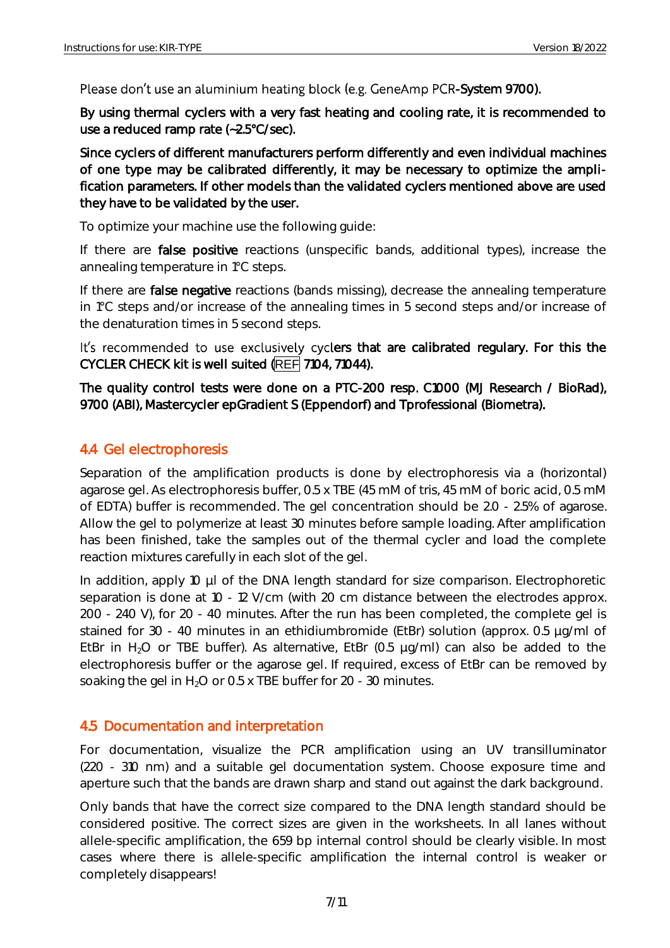Please don't use an aluminium heating block (e.g. GeneAmp PCR-System 9700).

By using thermal cyclers with a very fast heating and cooling rate, it is recommended to use a reduced ramp rate (~2.5°C/sec).

Since cyclers of different manufacturers perform differently and even individual machines of one type may be calibrated differently, it may be necessary to optimize the amplification parameters. If other models than the validated cyclers mentioned above are used they have to be validated by the user.

To optimize your machine use the following guide:

If there are **false positive** reactions (unspecific bands, additional types), increase the annealing temperature in 1°C steps.

If there are false negative reactions (bands missing), decrease the annealing temperature in 1°C steps and/or increase of the annealing times in 5 second steps and/or increase of the denaturation times in 5 second steps.

It's recommended to use exclusively cyclers that are calibrated regulary. For this the CYCLER CHECK kit is well suited (REF 7104, 71044).

The quality control tests were done on a PTC-200 resp. C1000 (MJ Research / BioRad), 9700 (ABI), Mastercycler epGradient S (Eppendorf) and Tprofessional (Biometra).

## <span id="page-7-0"></span>4.4 Gel electrophoresis

Separation of the amplification products is done by electrophoresis via a (horizontal) agarose gel. As electrophoresis buffer, 0.5 x TBE (45 mM of tris, 45 mM of boric acid, 0.5 mM of EDTA) buffer is recommended. The gel concentration should be 2.0 - 2.5% of agarose. Allow the gel to polymerize at least 30 minutes before sample loading. After amplification has been finished, take the samples out of the thermal cycler and load the complete reaction mixtures carefully in each slot of the gel.

In addition, apply 10 µl of the DNA length standard for size comparison. Electrophoretic separation is done at 10 - 12 V/cm (with 20 cm distance between the electrodes approx. 200 - 240 V), for 20 - 40 minutes. After the run has been completed, the complete gel is stained for 30 - 40 minutes in an ethidiumbromide (EtBr) solution (approx. 0.5 µg/ml of EtBr in  $H_2O$  or TBE buffer). As alternative, EtBr (0.5  $\mu q/ml$ ) can also be added to the electrophoresis buffer or the agarose gel. If required, excess of EtBr can be removed by soaking the gel in  $H_2O$  or 0.5 x TBE buffer for 20 - 30 minutes.

## <span id="page-7-1"></span>4.5 Documentation and interpretation

For documentation, visualize the PCR amplification using an UV transilluminator (220 - 310 nm) and a suitable gel documentation system. Choose exposure time and aperture such that the bands are drawn sharp and stand out against the dark background.

Only bands that have the correct size compared to the DNA length standard should be considered positive. The correct sizes are given in the worksheets. In all lanes without allele-specific amplification, the 659 bp internal control should be clearly visible. In most cases where there is allele-specific amplification the internal control is weaker or completely disappears!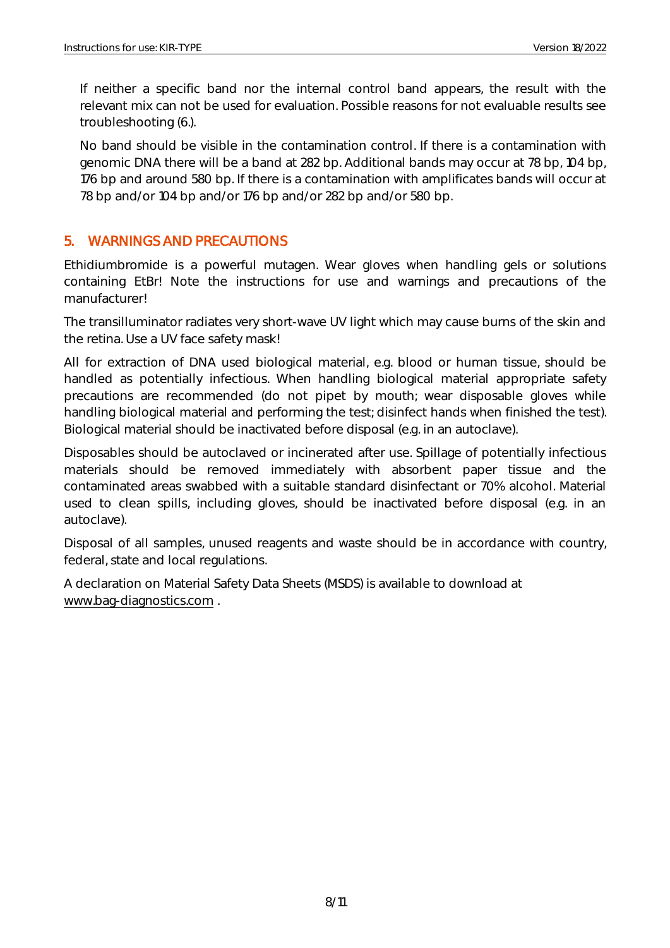If neither a specific band nor the internal control band appears, the result with the relevant mix can not be used for evaluation. Possible reasons for not evaluable results see troubleshooting (6.).

No band should be visible in the contamination control. If there is a contamination with genomic DNA there will be a band at 282 bp. Additional bands may occur at 78 bp, 104 bp, 176 bp and around 580 bp. If there is a contamination with amplificates bands will occur at 78 bp and/or 104 bp and/or 176 bp and/or 282 bp and/or 580 bp.

## <span id="page-8-0"></span>5. WARNINGS AND PRECAUTIONS

Ethidiumbromide is a powerful mutagen. Wear gloves when handling gels or solutions containing EtBr! Note the instructions for use and warnings and precautions of the manufacturer!

The transilluminator radiates very short-wave UV light which may cause burns of the skin and the retina. Use a UV face safety mask!

All for extraction of DNA used biological material, e.g. blood or human tissue, should be handled as potentially infectious. When handling biological material appropriate safety precautions are recommended (do not pipet by mouth; wear disposable gloves while handling biological material and performing the test; disinfect hands when finished the test). Biological material should be inactivated before disposal (e.g. in an autoclave).

Disposables should be autoclaved or incinerated after use. Spillage of potentially infectious materials should be removed immediately with absorbent paper tissue and the contaminated areas swabbed with a suitable standard disinfectant or 70% alcohol. Material used to clean spills, including gloves, should be inactivated before disposal (e.g. in an autoclave).

Disposal of all samples, unused reagents and waste should be in accordance with country, federal, state and local regulations.

A declaration on Material Safety Data Sheets (MSDS) is available to download at [www.bag-diagnostics.com](http://www.bag-diagnostics.com/) .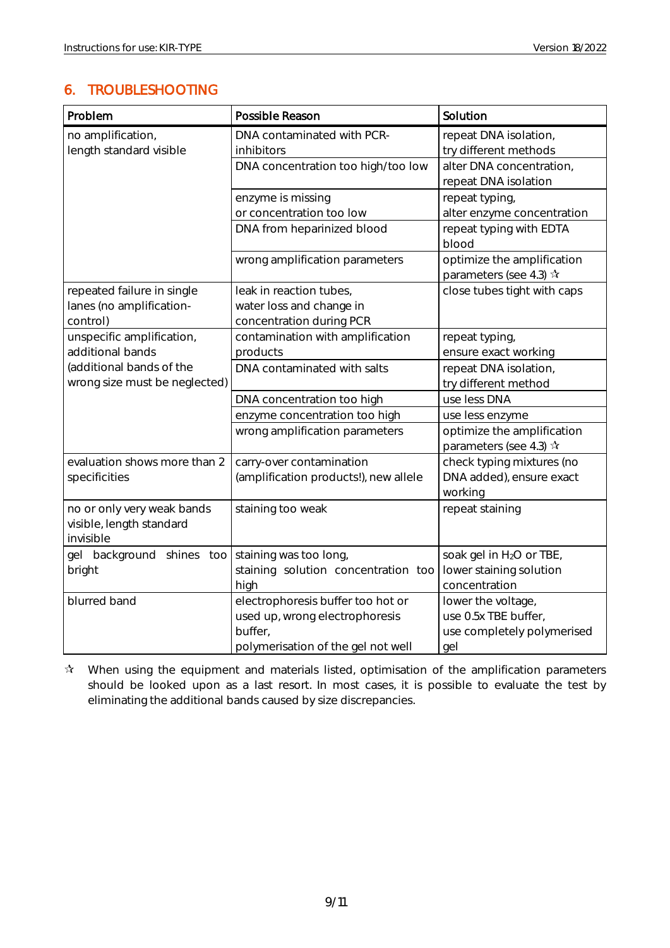## <span id="page-9-0"></span>6. TROUBLESHOOTING

| Problem                       | Possible Reason                       | Solution                                |
|-------------------------------|---------------------------------------|-----------------------------------------|
| no amplification,             | DNA contaminated with PCR-            | repeat DNA isolation,                   |
| length standard visible       | inhibitors                            | try different methods                   |
|                               | DNA concentration too high/too low    | alter DNA concentration,                |
|                               |                                       | repeat DNA isolation                    |
|                               | enzyme is missing                     | repeat typing,                          |
|                               | or concentration too low              | alter enzyme concentration              |
|                               | DNA from heparinized blood            | repeat typing with EDTA                 |
|                               |                                       | blood                                   |
|                               | wrong amplification parameters        | optimize the amplification              |
|                               |                                       | parameters (see 4.3) $\mathbf{\hat{x}}$ |
| repeated failure in single    | leak in reaction tubes,               | close tubes tight with caps             |
| lanes (no amplification-      | water loss and change in              |                                         |
| control)                      | concentration during PCR              |                                         |
| unspecific amplification,     | contamination with amplification      | repeat typing,                          |
| additional bands              | products                              | ensure exact working                    |
| (additional bands of the      | DNA contaminated with salts           | repeat DNA isolation,                   |
| wrong size must be neglected) |                                       | try different method                    |
|                               | DNA concentration too high            | use less DNA                            |
|                               | enzyme concentration too high         | use less enzyme                         |
|                               | wrong amplification parameters        | optimize the amplification              |
|                               |                                       | parameters (see 4.3) $\mathbf{\hat{x}}$ |
| evaluation shows more than 2  | carry-over contamination              | check typing mixtures (no               |
| specificities                 | (amplification products!), new allele | DNA added), ensure exact                |
|                               |                                       | working                                 |
| no or only very weak bands    | staining too weak                     | repeat staining                         |
| visible, length standard      |                                       |                                         |
| invisible                     |                                       |                                         |
| gel background shines too     | staining was too long,                | soak gel in H <sub>2</sub> O or TBE,    |
| bright                        | staining solution concentration too   | lower staining solution                 |
|                               | high                                  | concentration                           |
| blurred band                  | electrophoresis buffer too hot or     | lower the voltage,                      |
|                               | used up, wrong electrophoresis        | use 0.5x TBE buffer,                    |
|                               | buffer,                               | use completely polymerised              |
|                               | polymerisation of the gel not well    | gel                                     |

 $\mathbf{\hat{x}}$  When using the equipment and materials listed, optimisation of the amplification parameters should be looked upon as a last resort. In most cases, it is possible to evaluate the test by eliminating the additional bands caused by size discrepancies.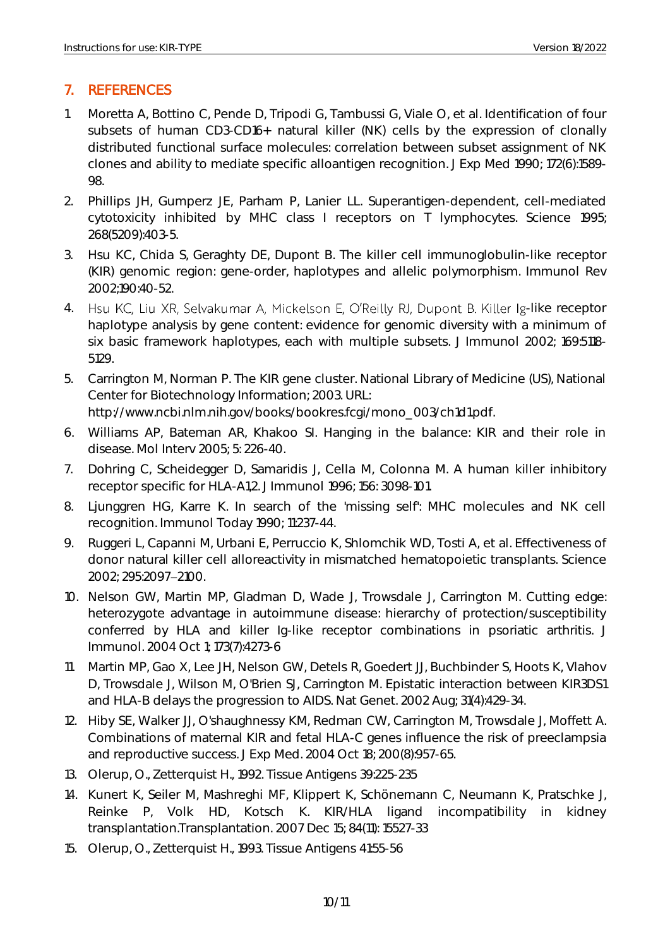## <span id="page-10-0"></span>7. REFERENCES

- 1. Moretta A, Bottino C, Pende D, Tripodi G, Tambussi G, Viale O, et al. Identification of four subsets of human CD3-CD16+ natural killer (NK) cells by the expression of clonally distributed functional surface molecules: correlation between subset assignment of NK clones and ability to mediate specific alloantigen recognition. J Exp Med 1990; 172(6):1589- 98.
- 2. Phillips JH, Gumperz JE, Parham P, Lanier LL. Superantigen-dependent, cell-mediated cytotoxicity inhibited by MHC class I receptors on T lymphocytes. Science 1995; 268(5209):403-5.
- 3. Hsu KC, Chida S, Geraghty DE, Dupont B. The killer cell immunoglobulin-like receptor (KIR) genomic region: gene-order, haplotypes and allelic polymorphism. Immunol Rev 2002;190:40-52.
- 4. Hsu KC, Liu XR, Selvakumar A, Mickelson E, O'Reilly RJ, Dupont B. Killer Ig-like receptor haplotype analysis by gene content: evidence for genomic diversity with a minimum of six basic framework haplotypes, each with multiple subsets. J Immunol 2002; 169:5118- 5129.
- 5. Carrington M, Norman P. The KIR gene cluster. National Library of Medicine (US), National Center for Biotechnology Information; 2003. URL:

http://www.ncbi.nlm.nih.gov/books/bookres.fcgi/mono\_003/ch1d1.pdf.

- 6. Williams AP, Bateman AR, Khakoo SI. Hanging in the balance: KIR and their role in disease. Mol Interv 2005; 5: 226-40.
- 7. Dohring C, Scheidegger D, Samaridis J, Cella M, Colonna M. A human killer inhibitory receptor specific for HLA-A1,2. J Immunol 1996; 156: 3098-101.
- 8. Ljunggren HG, Karre K. In search of the 'missing self': MHC molecules and NK cell recognition. Immunol Today 1990; 11:237-44.
- 9. Ruggeri L, Capanni M, Urbani E, Perruccio K, Shlomchik WD, Tosti A, et al. Effectiveness of donor natural killer cell alloreactivity in mismatched hematopoietic transplants. Science 2002; 295:2097 2100.
- 10. Nelson GW, Martin MP, Gladman D, Wade J, Trowsdale J, Carrington M. Cutting edge: heterozygote advantage in autoimmune disease: hierarchy of protection/susceptibility conferred by HLA and killer Ig-like receptor combinations in psoriatic arthritis. J Immunol. 2004 Oct 1; 173(7):4273-6
- 11. Martin MP, Gao X, Lee JH, Nelson GW, Detels R, Goedert JJ, Buchbinder S, Hoots K, Vlahov D, Trowsdale J, Wilson M, O'Brien SJ, Carrington M. Epistatic interaction between KIR3DS1 and HLA-B delays the progression to AIDS. Nat Genet. 2002 Aug; 31(4):429-34.
- 12. Hiby SE, Walker JJ, O'shaughnessy KM, Redman CW, Carrington M, Trowsdale J, Moffett A. Combinations of maternal KIR and fetal HLA-C genes influence the risk of preeclampsia and reproductive success. J Exp Med. 2004 Oct 18; 200(8):957-65.
- 13. Olerup, O., Zetterquist H., 1992. Tissue Antigens 39:225-235
- 14. Kunert K, Seiler M, Mashreghi MF, Klippert K, Schönemann C, Neumann K, Pratschke J, Reinke P, Volk HD, Kotsch K. KIR/HLA ligand incompatibility in kidney transplantation.Transplantation. 2007 Dec 15; 84(11): 15527-33
- 15. Olerup, O., Zetterquist H., 1993. Tissue Antigens 41:55-56